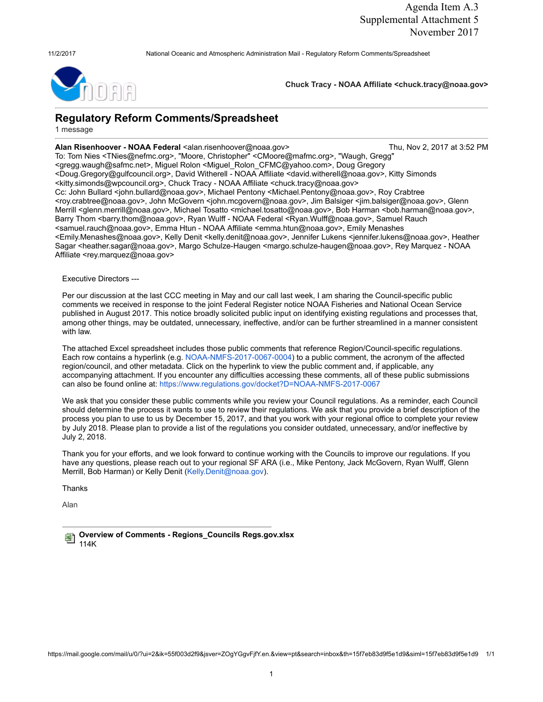11/2/2017 National Oceanic and Atmospheric Administration Mail - Regulatory Reform Comments/Spreadsheet

Chuck Tracy - NOAA Affiliate <chuck.tracy@noaa.gov>

## Regulatory Reform Comments/Spreadsheet

1 message

## Alan Risenhoover - NOAA Federal <alan.risenhoover@noaa.gov> Thu, Nov 2, 2017 at 3:52 PM

To: Tom Nies <TNies@nefmc.org>, "Moore, Christopher" <CMoore@mafmc.org>, "Waugh, Gregg" <gregg.waugh@safmc.net>, Miguel Rolon <Miguel\_Rolon\_CFMC@yahoo.com>, Doug Gregory <Doug.Gregory@gulfcouncil.org>, David Witherell - NOAA Affiliate <david.witherell@noaa.gov>, Kitty Simonds <kitty.simonds@wpcouncil.org>, Chuck Tracy - NOAA Affiliate <chuck.tracy@noaa.gov> Cc: John Bullard <john.bullard@noaa.gov>, Michael Pentony <Michael.Pentony@noaa.gov>, Roy Crabtree <roy.crabtree@noaa.gov>, John McGovern <john.mcgovern@noaa.gov>, Jim Balsiger <jim.balsiger@noaa.gov>, Glenn Merrill <glenn.merrill@noaa.gov>, Michael Tosatto <michael.tosatto@noaa.gov>, Bob Harman <bob.harman@noaa.gov>, Barry Thom <br/> <br/>hom@noaa.gov>, Ryan Wulff - NOAA Federal <Ryan.Wulff@noaa.gov>, Samuel Rauch <samuel.rauch@noaa.gov>, Emma Htun - NOAA Affiliate <emma.htun@noaa.gov>, Emily Menashes <Emily.Menashes@noaa.gov>, Kelly Denit <kelly.denit@noaa.gov>, Jennifer Lukens <jennifer.lukens@noaa.gov>, Heather Sagar <heather.sagar@noaa.gov>, Margo Schulze-Haugen <margo.schulze-haugen@noaa.gov>, Rey Marquez - NOAA Affiliate <rey.marquez@noaa.gov>

Executive Directors ---

Per our discussion at the last CCC meeting in May and our call last week, I am sharing the Council-specific public comments we received in response to the joint Federal Register notice NOAA Fisheries and National Ocean Service published in August 2017. This notice broadly solicited public input on identifying existing regulations and processes that, among other things, may be outdated, unnecessary, ineffective, and/or can be further streamlined in a manner consistent with law.

The attached Excel spreadsheet includes those public comments that reference Region/Council-specific regulations. Each row contains a hyperlink (e[.g. NOAA-NMFS-2017-0067-0004\)](https://www.regulations.gov/document?D=NOAA-NMFS-2017-0067-0004) to a public comment, the acronym of the affected region/council, and other metadata. Click on the hyperlink to view the public comment and, if applicable, any accompanying attachment. If you encounter any difficulties accessing these comments, all of these public submissions can also be found online [at: https://www.regulations.gov/docket?D=NOAA-NMFS-2017-0067](https://www.regulations.gov/docket?D=NOAA-NMFS-2017-0067)

We ask that you consider these public comments while you review your Council regulations. As a reminder, each Council should determine the process it wants to use to review their regulations. We ask that you provide a brief description of the process you plan to use to us by December 15, 2017, and that you work with your regional office to complete your review by July 2018. Please plan to provide a list of the regulations you consider outdated, unnecessary, and/or ineffective by July 2, 2018.

Thank you for your efforts, and we look forward to continue working with the Councils to improve our regulations. If you have any questions, please reach out to your regional SF ARA (i.e., Mike Pentony, Jack McGovern, Ryan Wulff, Glenn Merrill, Bob Harman) or Kelly Denit (Kelly.Denit@noaa.gov).

Thanks

Alan

**Overview of Comments - Regions\_Councils Regs.gov.xlsx** 114K